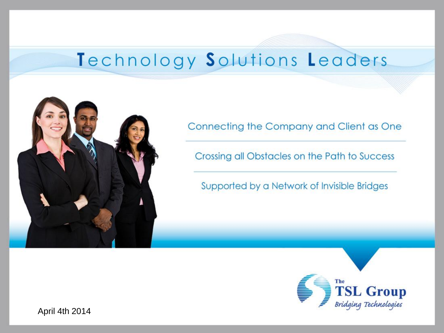# Technology Solutions Leaders



Connecting the Company and Client as One

Crossing all Obstacles on the Path to Success

Supported by a Network of Invisible Bridges

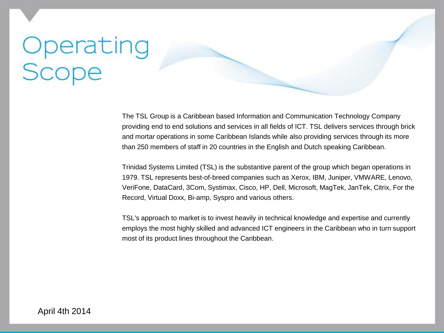# Operating<br>Scope

The TSL Group is a Caribbean based Information and Communication Technology Company providing end to end solutions and services in all fields of ICT. TSL delivers services through brick and mortar operations in some Caribbean Islands while also providing services through its more than 250 members of staff in 20 countries in the English and Dutch speaking Caribbean.

Trinidad Systems Limited (TSL) is the substantive parent of the group which began operations in 1979. TSL represents best-of-breed companies such as Xerox, IBM, Juniper, VMWARE, Lenovo, VeriFone, DataCard, 3Com, Systimax, Cisco, HP, Dell, Microsoft, MagTek, JanTek, Citrix, For the Record, Virtual Doxx, Bi-amp, Syspro and various others.

TSL's approach to market is to invest heavily in technical knowledge and expertise and currently employs the most highly skilled and advanced ICT engineers in the Caribbean who in turn support most of its product lines throughout the Caribbean.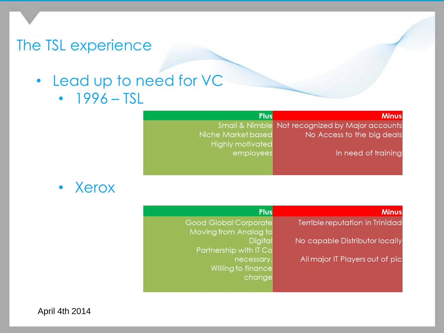- Lead up to need for VC  $\bullet$ 
	- $\cdot$  1996 TSL

#### **Plus**

Not recognized by Major accounts No Access to the big deals

In need of training

**Minus** 

Small & Nimble Niche Market based **Highly motivated** employees

Xerox

| <u>us</u>     | <b>Minus</b>                    |
|---------------|---------------------------------|
| te            | Terrible reputation in Trinidad |
| $\mathsf{to}$ |                                 |
| al            | No capable Distributor locally  |
| Сo            |                                 |
| ry.           | All major IT Players out of pic |
| сe            |                                 |
| gе            |                                 |

#### ÞI

Good Global Corpora Moving from Analog Digi Partnership with IT necessa Willing to finano chang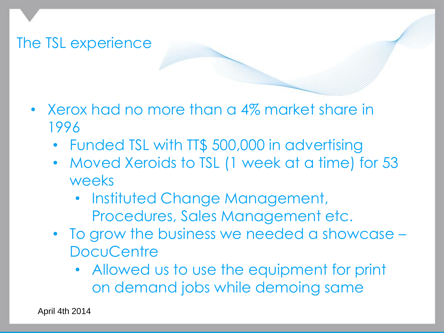

- Xerox had no more than a 4% market share in 1996
	- Funded TSL with TT\$ 500,000 in advertising
	- Moved Xeroids to TSL (1 week at a time) for 53 weeks
		- Instituted Change Management, Procedures, Sales Management etc.
	- To grow the business we needed a showcase **DocuCentre** 
		- Allowed us to use the equipment for print on demand jobs while demoing same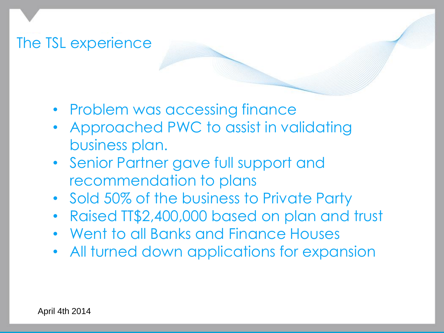- Problem was accessing finance
- Approached PWC to assist in validating business plan.
- Senior Partner gave full support and recommendation to plans
- Sold 50% of the business to Private Party
- Raised TT\$2,400,000 based on plan and trust
- Went to all Banks and Finance Houses
- All turned down applications for expansion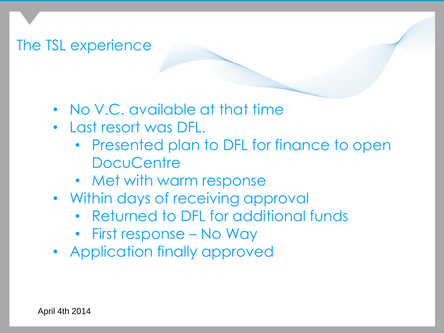- No V.C. available at that time
- Last resort was DFL.
	- Presented plan to DFL for finance to open **DocuCentre**
	- Met with warm response
- Within days of receiving approval
	- Returned to DFL for additional funds
	- First response No Way
- Application finally approved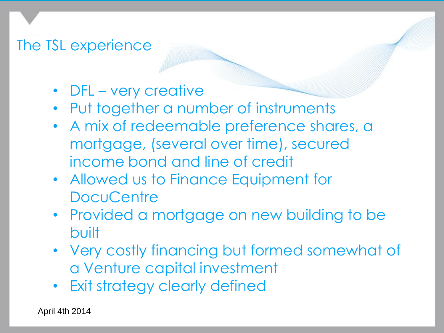- DFL very creative
- Put together a number of instruments
- A mix of redeemable preference shares, a mortgage, (several over time), secured income bond and line of credit
- Allowed us to Finance Equipment for **DocuCentre**
- Provided a mortgage on new building to be built
- Very costly financing but formed somewhat of a Venture capital investment
- Exit strategy clearly defined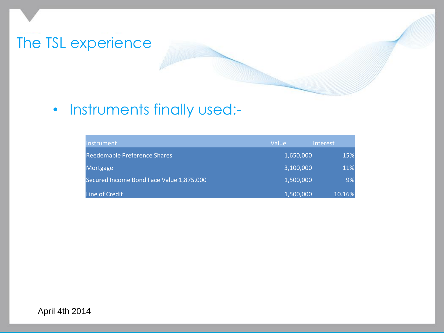

#### • Instruments finally used:-

| Instrument                               | Value     | Interest |
|------------------------------------------|-----------|----------|
| <b>Reedemable Preference Shares</b>      | 1,650,000 | 15%      |
| Mortgage                                 | 3,100,000 | 11%      |
| Secured Income Bond Face Value 1,875,000 | 1,500,000 | 9%       |
| Line of Credit                           | 1,500,000 | 10.16%   |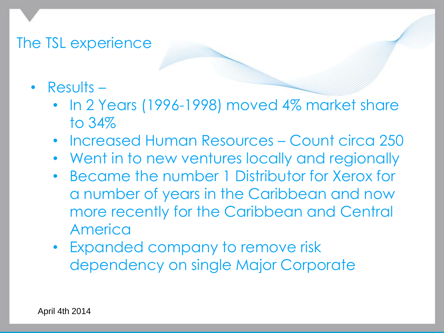- Results
	- In 2 Years (1996-1998) moved 4% market share to 34%
	- Increased Human Resources Count circa 250
	- Went in to new ventures locally and regionally
	- Became the number 1 Distributor for Xerox for a number of years in the Caribbean and now more recently for the Caribbean and Central America
	- Expanded company to remove risk dependency on single Major Corporate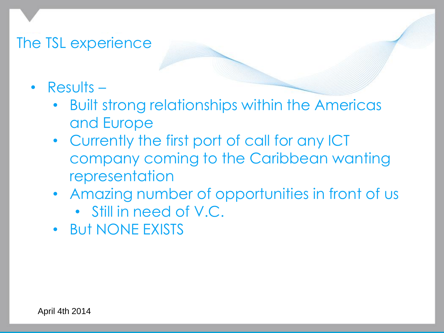- Results
	- Built strong relationships within the Americas and Europe
	- Currently the first port of call for any ICT company coming to the Caribbean wanting representation
	- Amazing number of opportunities in front of us
		- Still in need of V.C.
	- But NONE EXISTS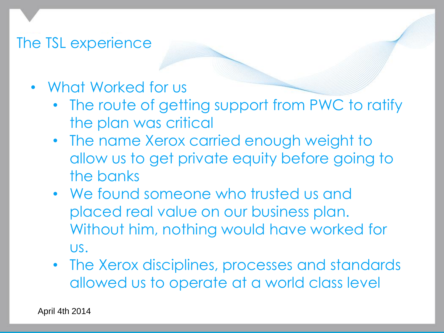- What Worked for us
	- The route of getting support from PWC to ratify the plan was critical
	- The name Xerox carried enough weight to allow us to get private equity before going to the banks
	- We found someone who trusted us and placed real value on our business plan. Without him, nothing would have worked for us.
	- The Xerox disciplines, processes and standards allowed us to operate at a world class level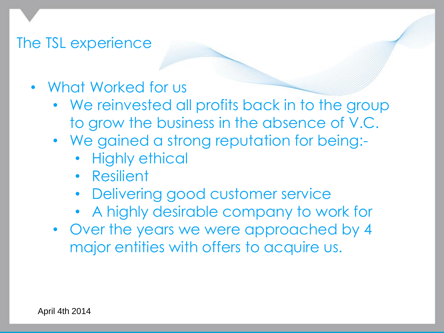- What Worked for us
	- We reinvested all profits back in to the group to grow the business in the absence of V.C.
	- We gained a strong reputation for being:-
		- Highly ethical
		- Resilient
		- Delivering good customer service
		- A highly desirable company to work for
	- Over the years we were approached by 4 major entities with offers to acquire us.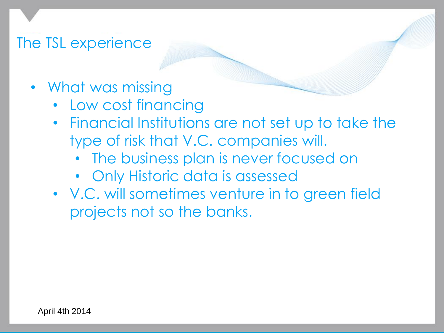- What was missing
	- Low cost financing
	- Financial Institutions are not set up to take the type of risk that V.C. companies will.
		- The business plan is never focused on
		- Only Historic data is assessed
	- V.C. will sometimes venture in to green field projects not so the banks.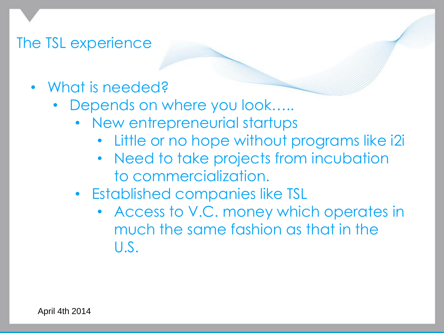- What is needed?
	- Depends on where you look.....
		- New entrepreneurial startups
			- Little or no hope without programs like i2i
			- Need to take projects from incubation to commercialization.
		- Established companies like TSL
			- Access to V.C. money which operates in much the same fashion as that in the U.S.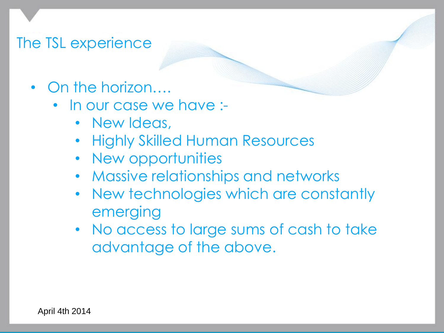- On the horizon....
	- In our case we have :-
		- New Ideas,
		- Highly Skilled Human Resources
		- New opportunities
		- Massive relationships and networks
		- New technologies which are constantly emerging
		- No access to large sums of cash to take advantage of the above.